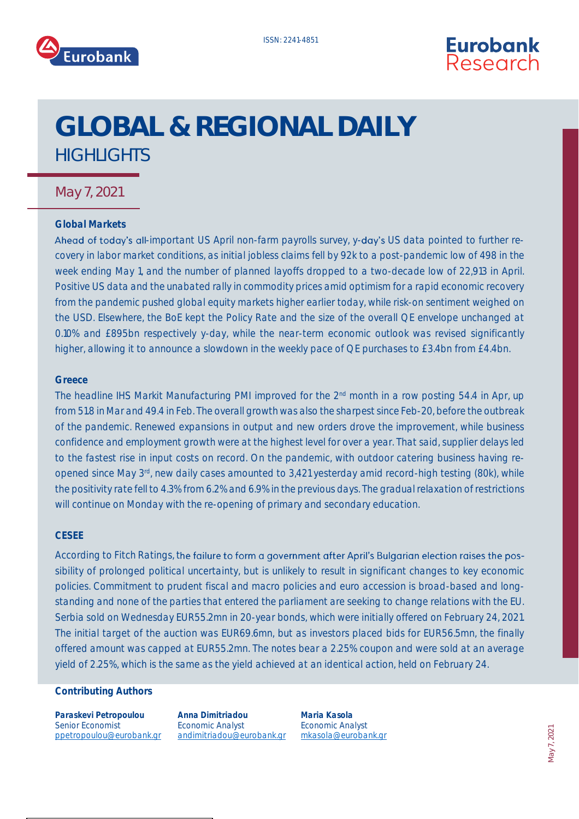



# GLOBAL & REGIONAL DAILY **HIGHLIGHTS**

### May 7, 2021

#### **Global Markets**

Ahead of today's all-important US April non-farm payrolls survey, y-day's US data pointed to further recovery in labor market conditions, as initial jobless claims fell by 92k to a post-pandemic low of 498 in the week ending May 1, and the number of planned layoffs dropped to a two-decade low of 22,913 in April. Positive US data and the unabated rally in commodity prices amid optimism for a rapid economic recovery from the pandemic pushed global equity markets higher earlier today, while risk-on sentiment weighed on the USD. Elsewhere, the BoE kept the Policy Rate and the size of the overall QE envelope unchanged at 0.10% and £895bn respectively y-day, while the near-term economic outlook was revised significantly higher, allowing it to announce a slowdown in the weekly pace of QE purchases to £3.4bn from £4.4bn.

#### **Greece**

The headline IHS Markit Manufacturing PMI improved for the 2<sup>nd</sup> month in a row posting 54.4 in Apr, up from 51.8 in Mar and 49.4 in Feb. The overall growth was also the sharpest since Feb-20, before the outbreak of the pandemic. Renewed expansions in output and new orders drove the improvement, while business confidence and employment growth were at the highest level for over a year. That said, supplier delays led to the fastest rise in input costs on record. On the pandemic, with outdoor catering business having reopened since May 3rd, new daily cases amounted to 3,421 yesterday amid record-high testing (80k), while the positivity rate fell to 4.3% from 6.2% and 6.9% in the previous days. The gradual relaxation of restrictions will continue on Monday with the re-opening of primary and secondary education.

#### **CESEE**

According to Fitch Ratings, the failure to form a government after April's Bulgarian election raises the possibility of prolonged political uncertainty, but is unlikely to result in significant changes to key economic policies. Commitment to prudent fiscal and macro policies and euro accession is broad-based and longstanding and none of the parties that entered the parliament are seeking to change relations with the EU. Serbia sold on Wednesday EUR55.2mn in 20-year bonds, which were initially offered on February 24, 2021. The initial target of the auction was EUR69.6mn, but as investors placed bids for EUR56.5mn, the finally offered amount was capped at EUR55.2mn. The notes bear a 2.25% coupon and were sold at an average yield of 2.25%, which is the same as the yield achieved at an identical action, held on February 24.

#### **Contributing Authors**

**Paraskevi Petropoulou** Senior Economist ppetropoulou@eurobank.gr

**Anna Dimitriadou** Economic Analyst andimitriado[u@eurobank.gr](mailto:sgogos@eurobank.gr)

**Maria Kasola** Economic Analyst mkasol[a@eurobank.gr](mailto:igkionis@eurobank.gr)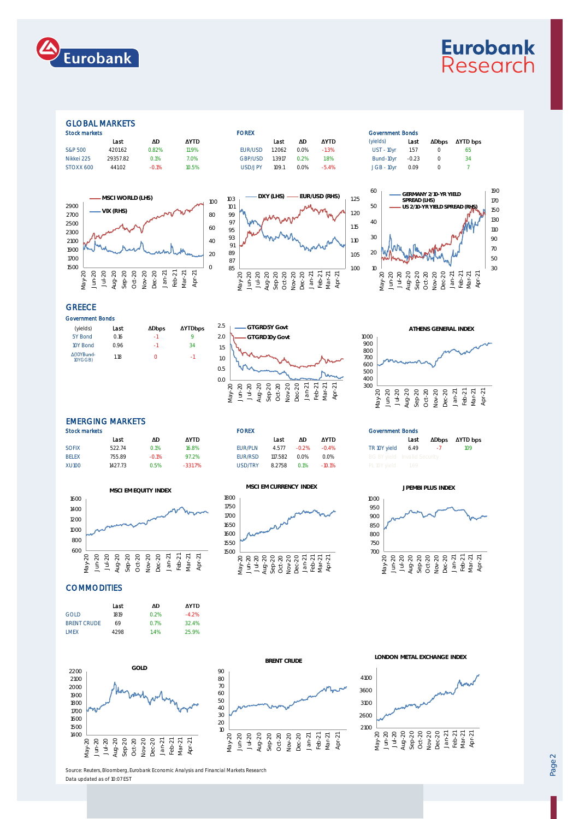

## **Eurobank** Research

#### GLOBAL MARKETS

| <b>STOCK THAT KETS</b> |         |             | <b>FUREA</b> |        |         |             |               | GOVERNMENT DUNGS |                  |        |  |
|------------------------|---------|-------------|--------------|--------|---------|-------------|---------------|------------------|------------------|--------|--|
| Last                   | ΔD      | <b>AYTD</b> |              | Last   | ΔD      | <b>AYTD</b> | (vields)      | Last             | ∆Dbps            | ΔYTD t |  |
| 4201.62                | 0.82%   | 11.9%       | EUR/USD      | 1.2062 | $0.0\%$ | $-1.3%$     | $UST - 10$ vr | 1.57             |                  | -65    |  |
| 29357.82               | 0.1%    | 7.0%        | GBP/USD      | 1.3917 | 0.2%    | 1.8%        | Bund-10vr     | $-0.23$          |                  | -34    |  |
| 441.02                 | $-0.1%$ | 10.5%       | USD/JPY      | 109.1  | 0.0%    | -5.4%       | $JGB - 10vr$  | 0.09             | $\left( \right)$ |        |  |
|                        |         |             |              |        |         |             |               |                  |                  |        |  |











#### **GREECE**

| Government Bonds      |      |              |               |  |  |
|-----------------------|------|--------------|---------------|--|--|
| (yields)              | Last | <b>ADbps</b> | <b>AYTDbr</b> |  |  |
| 5Y Bond               | 0.16 | -1           | Q             |  |  |
| 10Y Bond              | 0.96 | -1           | 34            |  |  |
| ∆(10YBund-<br>10YGGB) | 1.18 |              | -1            |  |  |
|                       |      |              |               |  |  |





#### EMERGING MARKETS

| <b>Stock markets</b> |         |             | <b>FOREX</b> |         |      | <b>Government Bonds</b> |                       |      |                                        |                                                                             |  |
|----------------------|---------|-------------|--------------|---------|------|-------------------------|-----------------------|------|----------------------------------------|-----------------------------------------------------------------------------|--|
| Last                 | ΔD      | <b>AYTD</b> |              | Last    | ΔD   | <b>AYTD</b>             |                       | Last |                                        |                                                                             |  |
| 522.74               | 0.1%    | 16.8%       | EUR/PLN      |         |      |                         |                       |      |                                        | 109                                                                         |  |
| 755.89               | $-0.1%$ | 97.2%       | EUR/RSD      | 117.582 | 0.0% | 0.0%                    |                       |      |                                        |                                                                             |  |
| 1427.73              | 0.5%    | $-331.7\%$  | USD/TRY      | 8.2758  | 0.1% |                         |                       |      |                                        |                                                                             |  |
|                      |         |             |              |         |      | 4.577 - 0.2%            | $-0.4\%$<br>$-10.1\%$ |      | TR 10Y vield 6.49<br>PL 10Y vield 1.69 | ADbps AYTD b<br>$\sim$ $\sim$ $\sim$ $\sim$<br>BG 8Y vield Invalid Security |  |





#### **COMMODITIES**







**LONDON METAL EXCHANGE INDEX**





**AYTD bps** 



Source: Reuters, Bloomberg, Eurobank Economic Analysis and Financial Markets Research Data updated as of 10:07 EST